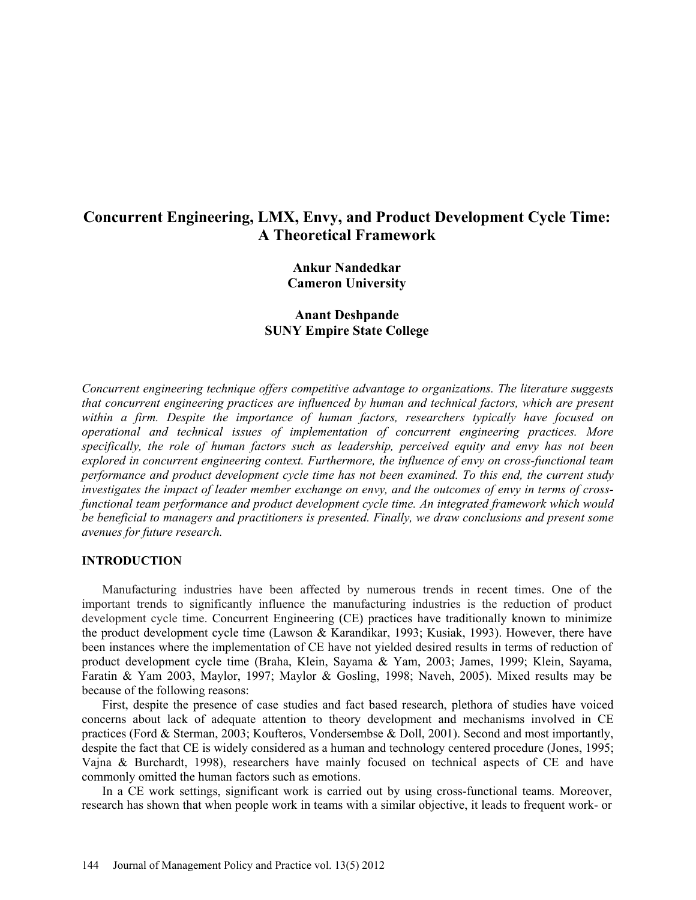# **Concurrent Engineering, LMX, Envy, and Product Development Cycle Time: A Theoretical Framework**

**Ankur Nandedkar Cameron University** 

# **Anant Deshpande SUNY Empire State College**

*Concurrent engineering technique offers competitive advantage to organizations. The literature suggests that concurrent engineering practices are influenced by human and technical factors, which are present within a firm. Despite the importance of human factors, researchers typically have focused on operational and technical issues of implementation of concurrent engineering practices. More specifically, the role of human factors such as leadership, perceived equity and envy has not been explored in concurrent engineering context. Furthermore, the influence of envy on cross-functional team performance and product development cycle time has not been examined. To this end, the current study investigates the impact of leader member exchange on envy, and the outcomes of envy in terms of crossfunctional team performance and product development cycle time. An integrated framework which would be beneficial to managers and practitioners is presented. Finally, we draw conclusions and present some avenues for future research.* 

#### **INTRODUCTION**

Manufacturing industries have been affected by numerous trends in recent times. One of the important trends to significantly influence the manufacturing industries is the reduction of product development cycle time. Concurrent Engineering (CE) practices have traditionally known to minimize the product development cycle time (Lawson & Karandikar, 1993; Kusiak, 1993). However, there have been instances where the implementation of CE have not yielded desired results in terms of reduction of product development cycle time (Braha, Klein, Sayama & Yam, 2003; James, 1999; Klein, Sayama, Faratin & Yam 2003, Maylor, 1997; Maylor & Gosling, 1998; Naveh, 2005). Mixed results may be because of the following reasons:

First, despite the presence of case studies and fact based research, plethora of studies have voiced concerns about lack of adequate attention to theory development and mechanisms involved in CE practices (Ford & Sterman, 2003; Koufteros, Vondersembse & Doll, 2001). Second and most importantly, despite the fact that CE is widely considered as a human and technology centered procedure (Jones, 1995; Vajna & Burchardt, 1998), researchers have mainly focused on technical aspects of CE and have commonly omitted the human factors such as emotions.

In a CE work settings, significant work is carried out by using cross-functional teams. Moreover, research has shown that when people work in teams with a similar objective, it leads to frequent work- or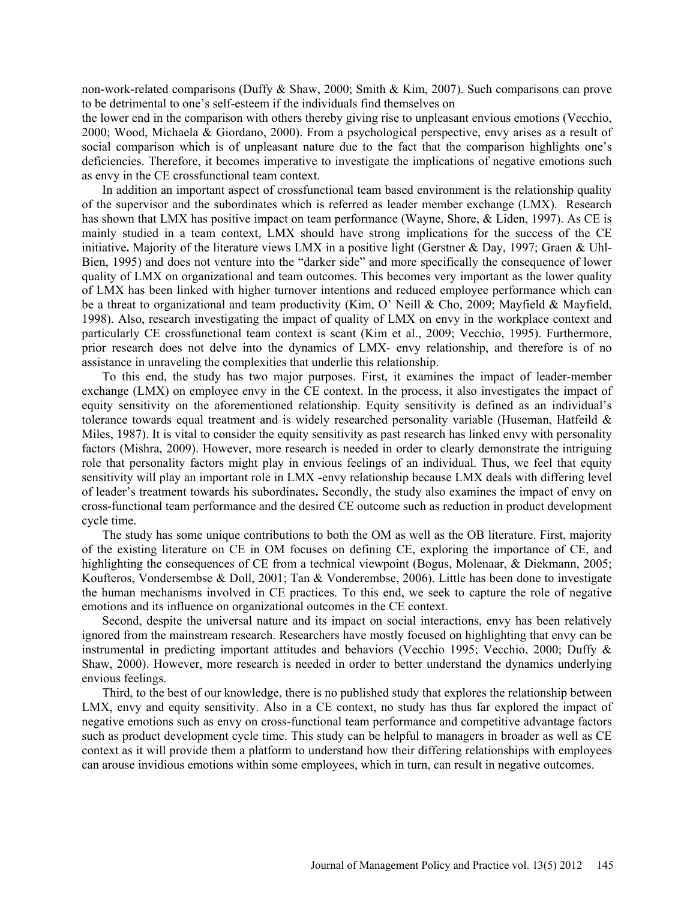non-work-related comparisons (Duffy & Shaw, 2000; Smith & Kim, 2007). Such comparisons can prove to be detrimental to one's self-esteem if the individuals find themselves on

the lower end in the comparison with others thereby giving rise to unpleasant envious emotions (Vecchio, 2000; Wood, Michaela & Giordano, 2000). From a psychological perspective, envy arises as a result of social comparison which is of unpleasant nature due to the fact that the comparison highlights one's deficiencies. Therefore, it becomes imperative to investigate the implications of negative emotions such as envy in the CE crossfunctional team context.

In addition an important aspect of crossfunctional team based environment is the relationship quality of the supervisor and the subordinates which is referred as leader member exchange (LMX). Research has shown that LMX has positive impact on team performance (Wayne, Shore, & Liden, 1997). As CE is mainly studied in a team context, LMX should have strong implications for the success of the CE initiative**.** Majority of the literature views LMX in a positive light (Gerstner & Day, 1997; Graen & Uhl-Bien, 1995) and does not venture into the "darker side" and more specifically the consequence of lower quality of LMX on organizational and team outcomes. This becomes very important as the lower quality of LMX has been linked with higher turnover intentions and reduced employee performance which can be a threat to organizational and team productivity (Kim, O' Neill & Cho, 2009; Mayfield & Mayfield, 1998). Also, research investigating the impact of quality of LMX on envy in the workplace context and particularly CE crossfunctional team context is scant (Kim et al., 2009; Vecchio, 1995). Furthermore, prior research does not delve into the dynamics of LMX- envy relationship, and therefore is of no assistance in unraveling the complexities that underlie this relationship.

To this end, the study has two major purposes. First, it examines the impact of leader-member exchange (LMX) on employee envy in the CE context. In the process, it also investigates the impact of equity sensitivity on the aforementioned relationship. Equity sensitivity is defined as an individual's tolerance towards equal treatment and is widely researched personality variable (Huseman, Hatfeild  $\&$ Miles, 1987). It is vital to consider the equity sensitivity as past research has linked envy with personality factors (Mishra, 2009). However, more research is needed in order to clearly demonstrate the intriguing role that personality factors might play in envious feelings of an individual. Thus, we feel that equity sensitivity will play an important role in LMX -envy relationship because LMX deals with differing level of leader's treatment towards his subordinates**.** Secondly, the study also examines the impact of envy on cross-functional team performance and the desired CE outcome such as reduction in product development cycle time.

The study has some unique contributions to both the OM as well as the OB literature. First, majority of the existing literature on CE in OM focuses on defining CE, exploring the importance of CE, and highlighting the consequences of CE from a technical viewpoint (Bogus, Molenaar, & Diekmann, 2005; Koufteros, Vondersembse & Doll, 2001; Tan & Vonderembse, 2006). Little has been done to investigate the human mechanisms involved in CE practices. To this end, we seek to capture the role of negative emotions and its influence on organizational outcomes in the CE context.

Second, despite the universal nature and its impact on social interactions, envy has been relatively ignored from the mainstream research. Researchers have mostly focused on highlighting that envy can be instrumental in predicting important attitudes and behaviors (Vecchio 1995; Vecchio, 2000; Duffy & Shaw, 2000). However, more research is needed in order to better understand the dynamics underlying envious feelings.

Third, to the best of our knowledge, there is no published study that explores the relationship between LMX, envy and equity sensitivity. Also in a CE context, no study has thus far explored the impact of negative emotions such as envy on cross-functional team performance and competitive advantage factors such as product development cycle time. This study can be helpful to managers in broader as well as CE context as it will provide them a platform to understand how their differing relationships with employees can arouse invidious emotions within some employees, which in turn, can result in negative outcomes.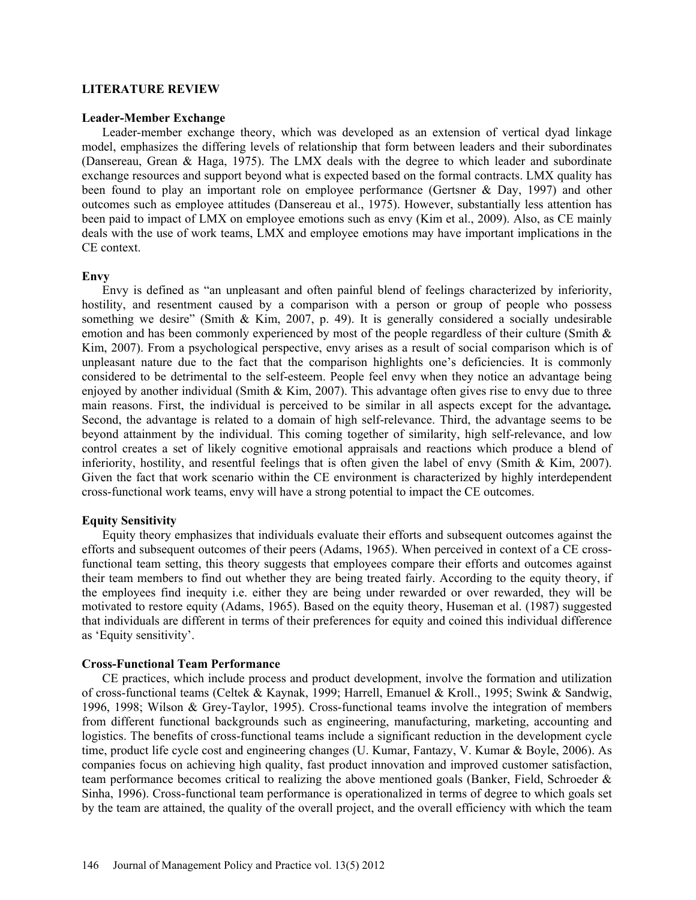#### **LITERATURE REVIEW**

#### **Leader-Member Exchange**

Leader-member exchange theory, which was developed as an extension of vertical dyad linkage model, emphasizes the differing levels of relationship that form between leaders and their subordinates (Dansereau, Grean & Haga, 1975). The LMX deals with the degree to which leader and subordinate exchange resources and support beyond what is expected based on the formal contracts. LMX quality has been found to play an important role on employee performance (Gertsner & Day, 1997) and other outcomes such as employee attitudes (Dansereau et al., 1975). However, substantially less attention has been paid to impact of LMX on employee emotions such as envy (Kim et al., 2009). Also, as CE mainly deals with the use of work teams, LMX and employee emotions may have important implications in the CE context.

#### **Envy**

Envy is defined as "an unpleasant and often painful blend of feelings characterized by inferiority, hostility, and resentment caused by a comparison with a person or group of people who possess something we desire" (Smith & Kim, 2007, p. 49). It is generally considered a socially undesirable emotion and has been commonly experienced by most of the people regardless of their culture (Smith & Kim, 2007). From a psychological perspective, envy arises as a result of social comparison which is of unpleasant nature due to the fact that the comparison highlights one's deficiencies. It is commonly considered to be detrimental to the self-esteem. People feel envy when they notice an advantage being enjoyed by another individual (Smith & Kim, 2007). This advantage often gives rise to envy due to three main reasons. First, the individual is perceived to be similar in all aspects except for the advantage*.* Second, the advantage is related to a domain of high self-relevance. Third, the advantage seems to be beyond attainment by the individual. This coming together of similarity, high self-relevance, and low control creates a set of likely cognitive emotional appraisals and reactions which produce a blend of inferiority, hostility, and resentful feelings that is often given the label of envy (Smith & Kim, 2007). Given the fact that work scenario within the CE environment is characterized by highly interdependent cross-functional work teams, envy will have a strong potential to impact the CE outcomes.

#### **Equity Sensitivity**

Equity theory emphasizes that individuals evaluate their efforts and subsequent outcomes against the efforts and subsequent outcomes of their peers (Adams, 1965). When perceived in context of a CE crossfunctional team setting, this theory suggests that employees compare their efforts and outcomes against their team members to find out whether they are being treated fairly. According to the equity theory, if the employees find inequity i.e. either they are being under rewarded or over rewarded, they will be motivated to restore equity (Adams, 1965). Based on the equity theory, Huseman et al. (1987) suggested that individuals are different in terms of their preferences for equity and coined this individual difference as 'Equity sensitivity'.

#### **Cross-Functional Team Performance**

CE practices, which include process and product development, involve the formation and utilization of cross-functional teams (Celtek & Kaynak, 1999; Harrell, Emanuel & Kroll., 1995; Swink & Sandwig, 1996, 1998; Wilson & Grey-Taylor, 1995). Cross-functional teams involve the integration of members from different functional backgrounds such as engineering, manufacturing, marketing, accounting and logistics. The benefits of cross-functional teams include a significant reduction in the development cycle time, product life cycle cost and engineering changes (U. Kumar, Fantazy, V. Kumar & Boyle, 2006). As companies focus on achieving high quality, fast product innovation and improved customer satisfaction, team performance becomes critical to realizing the above mentioned goals (Banker, Field, Schroeder & Sinha, 1996). Cross-functional team performance is operationalized in terms of degree to which goals set by the team are attained, the quality of the overall project, and the overall efficiency with which the team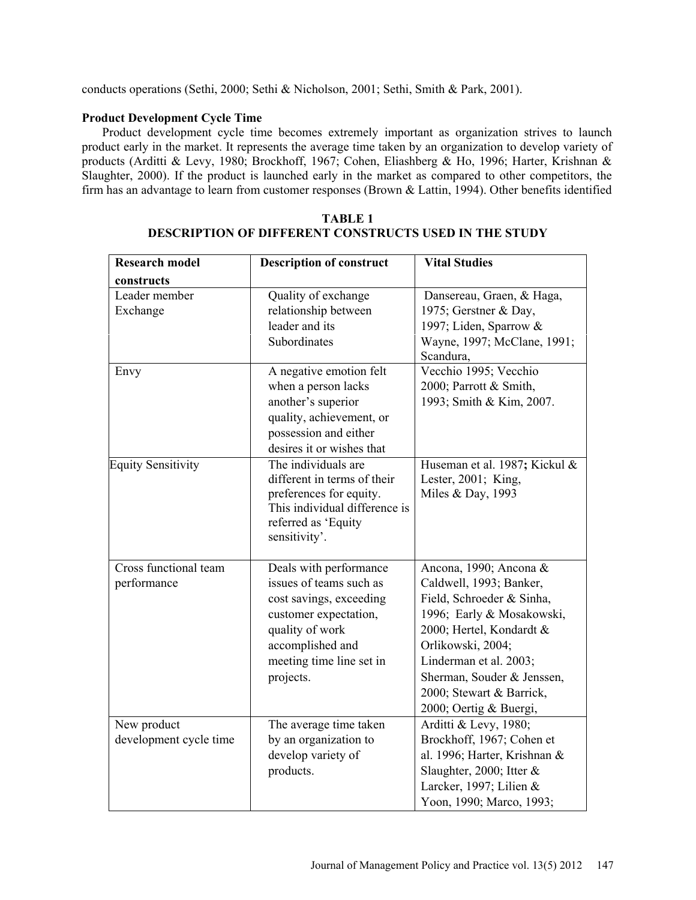conducts operations (Sethi, 2000; Sethi & Nicholson, 2001; Sethi, Smith & Park, 2001).

# **Product Development Cycle Time**

Product development cycle time becomes extremely important as organization strives to launch product early in the market. It represents the average time taken by an organization to develop variety of products (Arditti & Levy, 1980; Brockhoff, 1967; Cohen, Eliashberg & Ho, 1996; Harter, Krishnan & Slaughter, 2000). If the product is launched early in the market as compared to other competitors, the firm has an advantage to learn from customer responses (Brown & Lattin, 1994). Other benefits identified

| <b>Research model</b>     | <b>Description of construct</b> | <b>Vital Studies</b>          |
|---------------------------|---------------------------------|-------------------------------|
| constructs                |                                 |                               |
| Leader member             | Quality of exchange             | Dansereau, Graen, & Haga,     |
| Exchange                  | relationship between            | 1975; Gerstner & Day,         |
|                           | leader and its                  | 1997; Liden, Sparrow &        |
|                           | Subordinates                    | Wayne, 1997; McClane, 1991;   |
|                           |                                 | Scandura,                     |
| Envy                      | A negative emotion felt         | Vecchio 1995; Vecchio         |
|                           | when a person lacks             | 2000; Parrott & Smith,        |
|                           | another's superior              | 1993; Smith & Kim, 2007.      |
|                           | quality, achievement, or        |                               |
|                           | possession and either           |                               |
|                           | desires it or wishes that       |                               |
| <b>Equity Sensitivity</b> | The individuals are             | Huseman et al. 1987; Kickul & |
|                           | different in terms of their     | Lester, 2001; King,           |
|                           | preferences for equity.         | Miles & Day, 1993             |
|                           | This individual difference is   |                               |
|                           | referred as 'Equity             |                               |
|                           | sensitivity'.                   |                               |
| Cross functional team     | Deals with performance          | Ancona, 1990; Ancona &        |
| performance               | issues of teams such as         | Caldwell, 1993; Banker,       |
|                           | cost savings, exceeding         | Field, Schroeder & Sinha,     |
|                           | customer expectation,           | 1996; Early & Mosakowski,     |
|                           | quality of work                 | 2000; Hertel, Kondardt &      |
|                           | accomplished and                | Orlikowski, 2004;             |
|                           | meeting time line set in        | Linderman et al. 2003;        |
|                           | projects.                       | Sherman, Souder & Jenssen,    |
|                           |                                 | 2000; Stewart & Barrick,      |
|                           |                                 | 2000; Oertig & Buergi,        |
| New product               | The average time taken          | Arditti & Levy, 1980;         |
| development cycle time    | by an organization to           | Brockhoff, 1967; Cohen et     |
|                           | develop variety of              | al. 1996; Harter, Krishnan &  |
|                           | products.                       | Slaughter, 2000; Itter &      |
|                           |                                 | Larcker, 1997; Lilien &       |
|                           |                                 | Yoon, 1990; Marco, 1993;      |

# **TABLE 1 DESCRIPTION OF DIFFERENT CONSTRUCTS USED IN THE STUDY**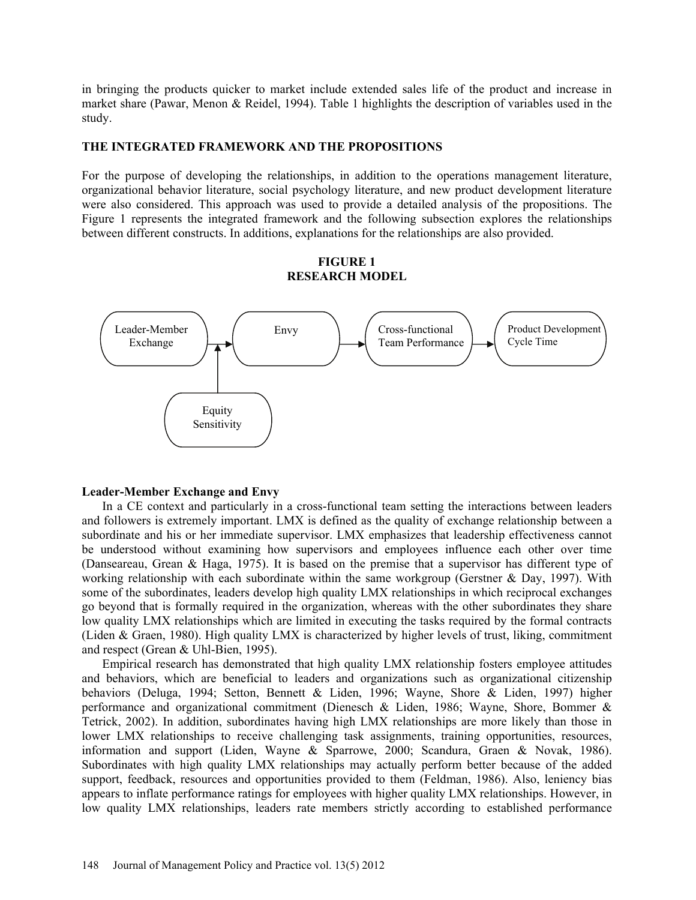in bringing the products quicker to market include extended sales life of the product and increase in market share (Pawar, Menon & Reidel, 1994). Table 1 highlights the description of variables used in the study.

# **THE INTEGRATED FRAMEWORK AND THE PROPOSITIONS**

For the purpose of developing the relationships, in addition to the operations management literature, organizational behavior literature, social psychology literature, and new product development literature were also considered. This approach was used to provide a detailed analysis of the propositions. The Figure 1 represents the integrated framework and the following subsection explores the relationships between different constructs. In additions, explanations for the relationships are also provided.

**FIGURE 1** 

# **RESEARCH MODEL**  Envy  $\setminus$  / Cross-functional Team Performance



#### **Leader-Member Exchange and Envy**

In a CE context and particularly in a cross-functional team setting the interactions between leaders and followers is extremely important. LMX is defined as the quality of exchange relationship between a subordinate and his or her immediate supervisor. LMX emphasizes that leadership effectiveness cannot be understood without examining how supervisors and employees influence each other over time (Danseareau, Grean & Haga, 1975). It is based on the premise that a supervisor has different type of working relationship with each subordinate within the same workgroup (Gerstner & Day, 1997). With some of the subordinates, leaders develop high quality LMX relationships in which reciprocal exchanges go beyond that is formally required in the organization, whereas with the other subordinates they share low quality LMX relationships which are limited in executing the tasks required by the formal contracts (Liden & Graen, 1980). High quality LMX is characterized by higher levels of trust, liking, commitment and respect (Grean & Uhl-Bien, 1995).

Empirical research has demonstrated that high quality LMX relationship fosters employee attitudes and behaviors, which are beneficial to leaders and organizations such as organizational citizenship behaviors (Deluga, 1994; Setton, Bennett & Liden, 1996; Wayne, Shore & Liden, 1997) higher performance and organizational commitment (Dienesch & Liden, 1986; Wayne, Shore, Bommer & Tetrick, 2002). In addition, subordinates having high LMX relationships are more likely than those in lower LMX relationships to receive challenging task assignments, training opportunities, resources, information and support (Liden, Wayne & Sparrowe, 2000; Scandura, Graen & Novak, 1986). Subordinates with high quality LMX relationships may actually perform better because of the added support, feedback, resources and opportunities provided to them (Feldman, 1986). Also, leniency bias appears to inflate performance ratings for employees with higher quality LMX relationships. However, in low quality LMX relationships, leaders rate members strictly according to established performance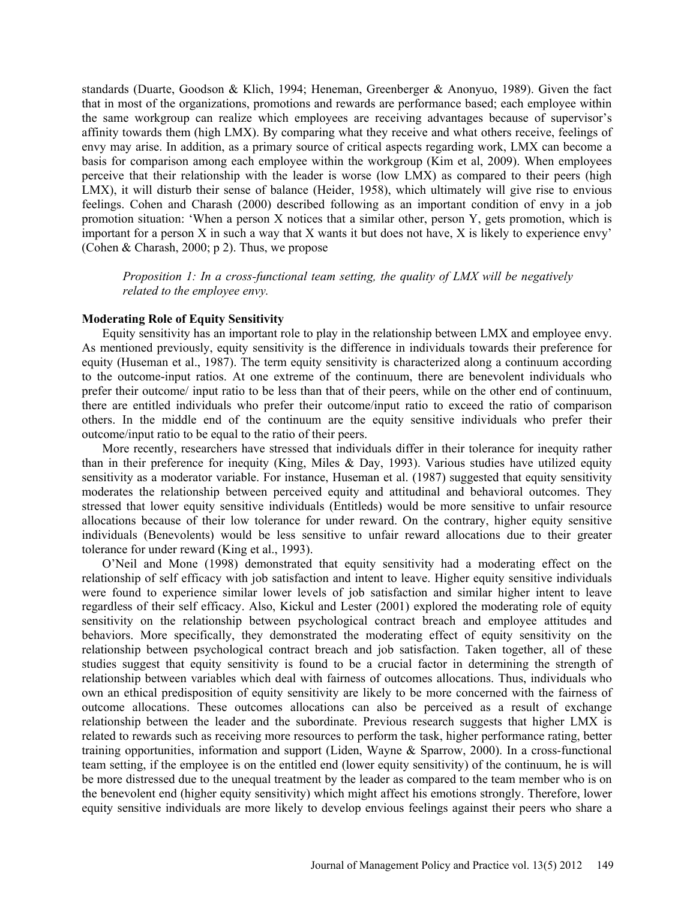standards (Duarte, Goodson & Klich, 1994; Heneman, Greenberger & Anonyuo, 1989). Given the fact that in most of the organizations, promotions and rewards are performance based; each employee within the same workgroup can realize which employees are receiving advantages because of supervisor's affinity towards them (high LMX). By comparing what they receive and what others receive, feelings of envy may arise. In addition, as a primary source of critical aspects regarding work, LMX can become a basis for comparison among each employee within the workgroup (Kim et al, 2009). When employees perceive that their relationship with the leader is worse (low LMX) as compared to their peers (high LMX), it will disturb their sense of balance (Heider, 1958), which ultimately will give rise to envious feelings. Cohen and Charash (2000) described following as an important condition of envy in a job promotion situation: 'When a person X notices that a similar other, person Y, gets promotion, which is important for a person  $X$  in such a way that  $X$  wants it but does not have,  $X$  is likely to experience envy' (Cohen & Charash, 2000; p 2). Thus, we propose

*Proposition 1: In a cross-functional team setting, the quality of LMX will be negatively related to the employee envy.* 

# **Moderating Role of Equity Sensitivity**

Equity sensitivity has an important role to play in the relationship between LMX and employee envy. As mentioned previously, equity sensitivity is the difference in individuals towards their preference for equity (Huseman et al., 1987). The term equity sensitivity is characterized along a continuum according to the outcome-input ratios. At one extreme of the continuum, there are benevolent individuals who prefer their outcome/ input ratio to be less than that of their peers, while on the other end of continuum, there are entitled individuals who prefer their outcome/input ratio to exceed the ratio of comparison others. In the middle end of the continuum are the equity sensitive individuals who prefer their outcome/input ratio to be equal to the ratio of their peers.

More recently, researchers have stressed that individuals differ in their tolerance for inequity rather than in their preference for inequity (King, Miles & Day, 1993). Various studies have utilized equity sensitivity as a moderator variable. For instance, Huseman et al. (1987) suggested that equity sensitivity moderates the relationship between perceived equity and attitudinal and behavioral outcomes. They stressed that lower equity sensitive individuals (Entitleds) would be more sensitive to unfair resource allocations because of their low tolerance for under reward. On the contrary, higher equity sensitive individuals (Benevolents) would be less sensitive to unfair reward allocations due to their greater tolerance for under reward (King et al., 1993).

O'Neil and Mone (1998) demonstrated that equity sensitivity had a moderating effect on the relationship of self efficacy with job satisfaction and intent to leave. Higher equity sensitive individuals were found to experience similar lower levels of job satisfaction and similar higher intent to leave regardless of their self efficacy. Also, Kickul and Lester (2001) explored the moderating role of equity sensitivity on the relationship between psychological contract breach and employee attitudes and behaviors. More specifically, they demonstrated the moderating effect of equity sensitivity on the relationship between psychological contract breach and job satisfaction. Taken together, all of these studies suggest that equity sensitivity is found to be a crucial factor in determining the strength of relationship between variables which deal with fairness of outcomes allocations. Thus, individuals who own an ethical predisposition of equity sensitivity are likely to be more concerned with the fairness of outcome allocations. These outcomes allocations can also be perceived as a result of exchange relationship between the leader and the subordinate. Previous research suggests that higher LMX is related to rewards such as receiving more resources to perform the task, higher performance rating, better training opportunities, information and support (Liden, Wayne & Sparrow, 2000). In a cross-functional team setting, if the employee is on the entitled end (lower equity sensitivity) of the continuum, he is will be more distressed due to the unequal treatment by the leader as compared to the team member who is on the benevolent end (higher equity sensitivity) which might affect his emotions strongly. Therefore, lower equity sensitive individuals are more likely to develop envious feelings against their peers who share a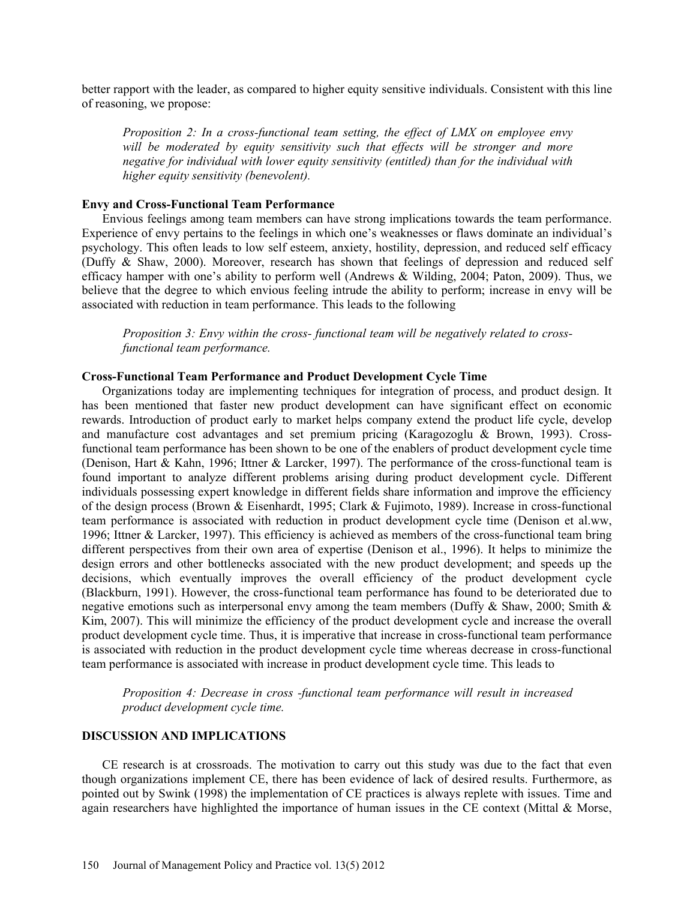better rapport with the leader, as compared to higher equity sensitive individuals. Consistent with this line of reasoning, we propose:

*Proposition 2: In a cross-functional team setting, the effect of LMX on employee envy*  will be moderated by equity sensitivity such that effects will be stronger and more *negative for individual with lower equity sensitivity (entitled) than for the individual with higher equity sensitivity (benevolent).* 

#### **Envy and Cross-Functional Team Performance**

Envious feelings among team members can have strong implications towards the team performance. Experience of envy pertains to the feelings in which one's weaknesses or flaws dominate an individual's psychology. This often leads to low self esteem, anxiety, hostility, depression, and reduced self efficacy (Duffy & Shaw, 2000). Moreover, research has shown that feelings of depression and reduced self efficacy hamper with one's ability to perform well (Andrews & Wilding, 2004; Paton, 2009). Thus, we believe that the degree to which envious feeling intrude the ability to perform; increase in envy will be associated with reduction in team performance. This leads to the following

*Proposition 3: Envy within the cross- functional team will be negatively related to crossfunctional team performance.* 

# **Cross-Functional Team Performance and Product Development Cycle Time**

Organizations today are implementing techniques for integration of process, and product design. It has been mentioned that faster new product development can have significant effect on economic rewards. Introduction of product early to market helps company extend the product life cycle, develop and manufacture cost advantages and set premium pricing (Karagozoglu & Brown, 1993). Crossfunctional team performance has been shown to be one of the enablers of product development cycle time (Denison, Hart & Kahn, 1996; Ittner & Larcker, 1997). The performance of the cross-functional team is found important to analyze different problems arising during product development cycle. Different individuals possessing expert knowledge in different fields share information and improve the efficiency of the design process (Brown & Eisenhardt, 1995; Clark & Fujimoto, 1989). Increase in cross-functional team performance is associated with reduction in product development cycle time (Denison et al.ww, 1996; Ittner & Larcker, 1997). This efficiency is achieved as members of the cross-functional team bring different perspectives from their own area of expertise (Denison et al., 1996). It helps to minimize the design errors and other bottlenecks associated with the new product development; and speeds up the decisions, which eventually improves the overall efficiency of the product development cycle (Blackburn, 1991). However, the cross-functional team performance has found to be deteriorated due to negative emotions such as interpersonal envy among the team members (Duffy  $\&$  Shaw, 2000; Smith  $\&$ Kim, 2007). This will minimize the efficiency of the product development cycle and increase the overall product development cycle time. Thus, it is imperative that increase in cross-functional team performance is associated with reduction in the product development cycle time whereas decrease in cross-functional team performance is associated with increase in product development cycle time. This leads to

*Proposition 4: Decrease in cross -functional team performance will result in increased product development cycle time.* 

### **DISCUSSION AND IMPLICATIONS**

CE research is at crossroads. The motivation to carry out this study was due to the fact that even though organizations implement CE, there has been evidence of lack of desired results. Furthermore, as pointed out by Swink (1998) the implementation of CE practices is always replete with issues. Time and again researchers have highlighted the importance of human issues in the CE context (Mittal & Morse,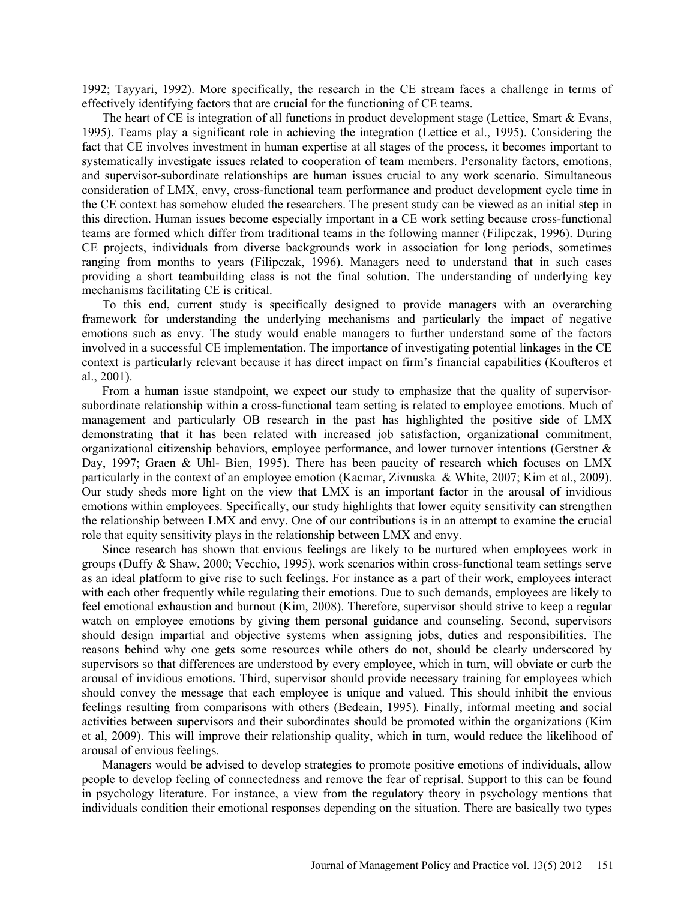1992; Tayyari, 1992). More specifically, the research in the CE stream faces a challenge in terms of effectively identifying factors that are crucial for the functioning of CE teams.

The heart of CE is integration of all functions in product development stage (Lettice, Smart & Evans, 1995). Teams play a significant role in achieving the integration (Lettice et al., 1995). Considering the fact that CE involves investment in human expertise at all stages of the process, it becomes important to systematically investigate issues related to cooperation of team members. Personality factors, emotions, and supervisor-subordinate relationships are human issues crucial to any work scenario. Simultaneous consideration of LMX, envy, cross-functional team performance and product development cycle time in the CE context has somehow eluded the researchers. The present study can be viewed as an initial step in this direction. Human issues become especially important in a CE work setting because cross-functional teams are formed which differ from traditional teams in the following manner (Filipczak, 1996). During CE projects, individuals from diverse backgrounds work in association for long periods, sometimes ranging from months to years (Filipczak, 1996). Managers need to understand that in such cases providing a short teambuilding class is not the final solution. The understanding of underlying key mechanisms facilitating CE is critical.

To this end, current study is specifically designed to provide managers with an overarching framework for understanding the underlying mechanisms and particularly the impact of negative emotions such as envy. The study would enable managers to further understand some of the factors involved in a successful CE implementation. The importance of investigating potential linkages in the CE context is particularly relevant because it has direct impact on firm's financial capabilities (Koufteros et al., 2001).

From a human issue standpoint, we expect our study to emphasize that the quality of supervisorsubordinate relationship within a cross-functional team setting is related to employee emotions. Much of management and particularly OB research in the past has highlighted the positive side of LMX demonstrating that it has been related with increased job satisfaction, organizational commitment, organizational citizenship behaviors, employee performance, and lower turnover intentions (Gerstner & Day, 1997; Graen & Uhl- Bien, 1995). There has been paucity of research which focuses on LMX particularly in the context of an employee emotion (Kacmar, Zivnuska & White, 2007; Kim et al., 2009). Our study sheds more light on the view that LMX is an important factor in the arousal of invidious emotions within employees. Specifically, our study highlights that lower equity sensitivity can strengthen the relationship between LMX and envy. One of our contributions is in an attempt to examine the crucial role that equity sensitivity plays in the relationship between LMX and envy.

Since research has shown that envious feelings are likely to be nurtured when employees work in groups (Duffy & Shaw, 2000; Vecchio, 1995), work scenarios within cross-functional team settings serve as an ideal platform to give rise to such feelings. For instance as a part of their work, employees interact with each other frequently while regulating their emotions. Due to such demands, employees are likely to feel emotional exhaustion and burnout (Kim, 2008). Therefore, supervisor should strive to keep a regular watch on employee emotions by giving them personal guidance and counseling. Second, supervisors should design impartial and objective systems when assigning jobs, duties and responsibilities. The reasons behind why one gets some resources while others do not, should be clearly underscored by supervisors so that differences are understood by every employee, which in turn, will obviate or curb the arousal of invidious emotions. Third, supervisor should provide necessary training for employees which should convey the message that each employee is unique and valued. This should inhibit the envious feelings resulting from comparisons with others (Bedeain, 1995). Finally, informal meeting and social activities between supervisors and their subordinates should be promoted within the organizations (Kim et al, 2009). This will improve their relationship quality, which in turn, would reduce the likelihood of arousal of envious feelings.

Managers would be advised to develop strategies to promote positive emotions of individuals, allow people to develop feeling of connectedness and remove the fear of reprisal. Support to this can be found in psychology literature. For instance, a view from the regulatory theory in psychology mentions that individuals condition their emotional responses depending on the situation. There are basically two types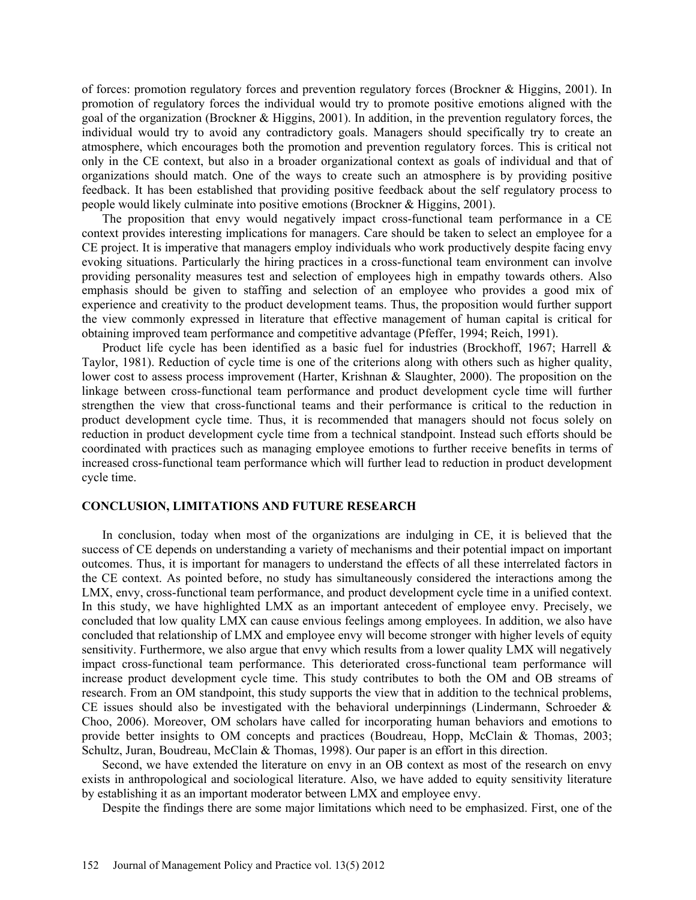of forces: promotion regulatory forces and prevention regulatory forces (Brockner & Higgins, 2001). In promotion of regulatory forces the individual would try to promote positive emotions aligned with the goal of the organization (Brockner & Higgins, 2001). In addition, in the prevention regulatory forces, the individual would try to avoid any contradictory goals. Managers should specifically try to create an atmosphere, which encourages both the promotion and prevention regulatory forces. This is critical not only in the CE context, but also in a broader organizational context as goals of individual and that of organizations should match. One of the ways to create such an atmosphere is by providing positive feedback. It has been established that providing positive feedback about the self regulatory process to people would likely culminate into positive emotions (Brockner & Higgins, 2001).

The proposition that envy would negatively impact cross-functional team performance in a CE context provides interesting implications for managers. Care should be taken to select an employee for a CE project. It is imperative that managers employ individuals who work productively despite facing envy evoking situations. Particularly the hiring practices in a cross-functional team environment can involve providing personality measures test and selection of employees high in empathy towards others. Also emphasis should be given to staffing and selection of an employee who provides a good mix of experience and creativity to the product development teams. Thus, the proposition would further support the view commonly expressed in literature that effective management of human capital is critical for obtaining improved team performance and competitive advantage (Pfeffer, 1994; Reich, 1991).

Product life cycle has been identified as a basic fuel for industries (Brockhoff, 1967; Harrell & Taylor, 1981). Reduction of cycle time is one of the criterions along with others such as higher quality, lower cost to assess process improvement (Harter, Krishnan & Slaughter, 2000). The proposition on the linkage between cross-functional team performance and product development cycle time will further strengthen the view that cross-functional teams and their performance is critical to the reduction in product development cycle time. Thus, it is recommended that managers should not focus solely on reduction in product development cycle time from a technical standpoint. Instead such efforts should be coordinated with practices such as managing employee emotions to further receive benefits in terms of increased cross-functional team performance which will further lead to reduction in product development cycle time.

# **CONCLUSION, LIMITATIONS AND FUTURE RESEARCH**

In conclusion, today when most of the organizations are indulging in CE, it is believed that the success of CE depends on understanding a variety of mechanisms and their potential impact on important outcomes. Thus, it is important for managers to understand the effects of all these interrelated factors in the CE context. As pointed before, no study has simultaneously considered the interactions among the LMX, envy, cross-functional team performance, and product development cycle time in a unified context. In this study, we have highlighted LMX as an important antecedent of employee envy. Precisely, we concluded that low quality LMX can cause envious feelings among employees. In addition, we also have concluded that relationship of LMX and employee envy will become stronger with higher levels of equity sensitivity. Furthermore, we also argue that envy which results from a lower quality LMX will negatively impact cross-functional team performance. This deteriorated cross-functional team performance will increase product development cycle time. This study contributes to both the OM and OB streams of research. From an OM standpoint, this study supports the view that in addition to the technical problems, CE issues should also be investigated with the behavioral underpinnings (Lindermann, Schroeder & Choo, 2006). Moreover, OM scholars have called for incorporating human behaviors and emotions to provide better insights to OM concepts and practices (Boudreau, Hopp, McClain & Thomas, 2003; Schultz, Juran, Boudreau, McClain & Thomas, 1998). Our paper is an effort in this direction.

Second, we have extended the literature on envy in an OB context as most of the research on envy exists in anthropological and sociological literature. Also, we have added to equity sensitivity literature by establishing it as an important moderator between LMX and employee envy.

Despite the findings there are some major limitations which need to be emphasized. First, one of the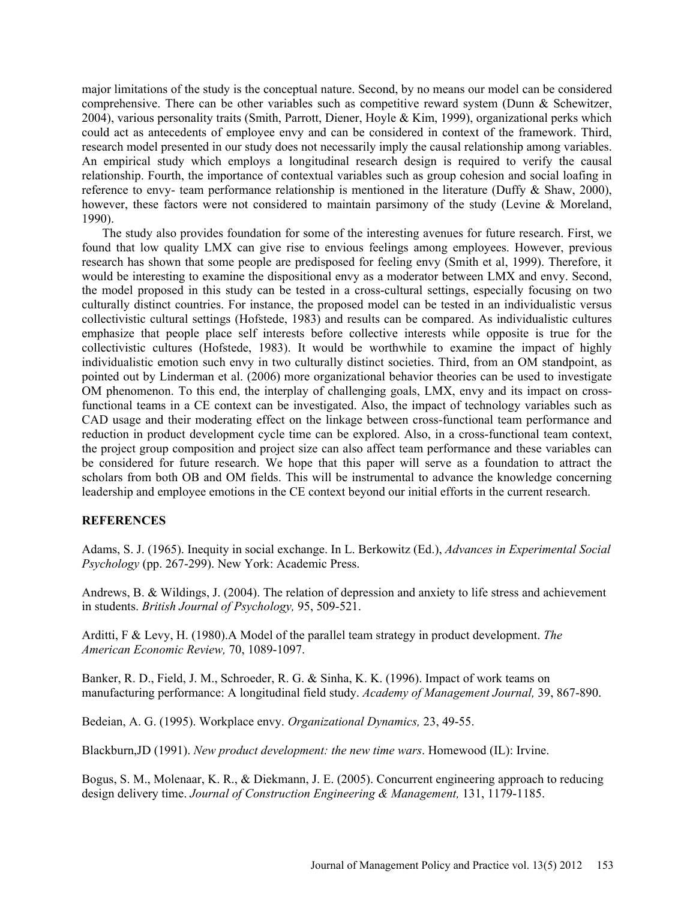major limitations of the study is the conceptual nature. Second, by no means our model can be considered comprehensive. There can be other variables such as competitive reward system (Dunn & Schewitzer, 2004), various personality traits (Smith, Parrott, Diener, Hoyle & Kim, 1999), organizational perks which could act as antecedents of employee envy and can be considered in context of the framework. Third, research model presented in our study does not necessarily imply the causal relationship among variables. An empirical study which employs a longitudinal research design is required to verify the causal relationship. Fourth, the importance of contextual variables such as group cohesion and social loafing in reference to envy- team performance relationship is mentioned in the literature (Duffy & Shaw, 2000), however, these factors were not considered to maintain parsimony of the study (Levine & Moreland, 1990).

The study also provides foundation for some of the interesting avenues for future research. First, we found that low quality LMX can give rise to envious feelings among employees. However, previous research has shown that some people are predisposed for feeling envy (Smith et al, 1999). Therefore, it would be interesting to examine the dispositional envy as a moderator between LMX and envy. Second, the model proposed in this study can be tested in a cross-cultural settings, especially focusing on two culturally distinct countries. For instance, the proposed model can be tested in an individualistic versus collectivistic cultural settings (Hofstede, 1983) and results can be compared. As individualistic cultures emphasize that people place self interests before collective interests while opposite is true for the collectivistic cultures (Hofstede, 1983). It would be worthwhile to examine the impact of highly individualistic emotion such envy in two culturally distinct societies. Third, from an OM standpoint, as pointed out by Linderman et al. (2006) more organizational behavior theories can be used to investigate OM phenomenon. To this end, the interplay of challenging goals, LMX, envy and its impact on crossfunctional teams in a CE context can be investigated. Also, the impact of technology variables such as CAD usage and their moderating effect on the linkage between cross-functional team performance and reduction in product development cycle time can be explored. Also, in a cross-functional team context, the project group composition and project size can also affect team performance and these variables can be considered for future research. We hope that this paper will serve as a foundation to attract the scholars from both OB and OM fields. This will be instrumental to advance the knowledge concerning leadership and employee emotions in the CE context beyond our initial efforts in the current research.

# **REFERENCES**

Adams, S. J. (1965). Inequity in social exchange. In L. Berkowitz (Ed.), *Advances in Experimental Social Psychology* (pp. 267-299). New York: Academic Press.

Andrews, B. & Wildings, J. (2004). The relation of depression and anxiety to life stress and achievement in students. *British Journal of Psychology,* 95, 509-521.

Arditti, F & Levy, H. (1980).A Model of the parallel team strategy in product development. *The American Economic Review,* 70, 1089-1097.

Banker, R. D., Field, J. M., Schroeder, R. G. & Sinha, K. K. (1996). Impact of work teams on manufacturing performance: A longitudinal field study. *Academy of Management Journal,* 39, 867-890.

Bedeian, A. G. (1995). Workplace envy. *Organizational Dynamics,* 23, 49-55.

Blackburn,JD (1991). *New product development: the new time wars*. Homewood (IL): Irvine.

Bogus, S. M., Molenaar, K. R., & Diekmann, J. E. (2005). Concurrent engineering approach to reducing design delivery time. *Journal of Construction Engineering & Management,* 131, 1179-1185.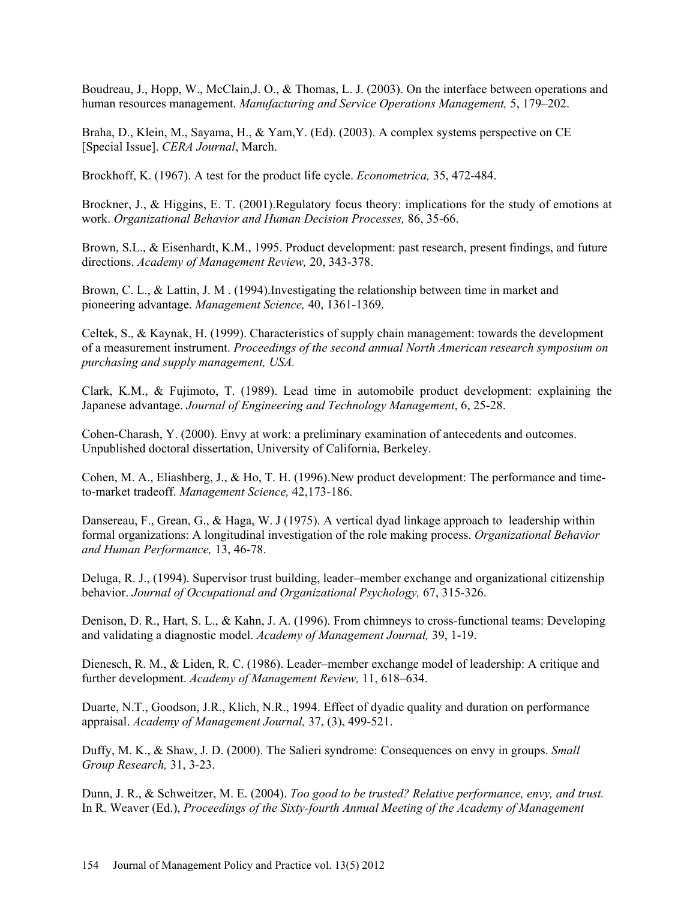Boudreau, J., Hopp, W., McClain,J. O., & Thomas, L. J. (2003). On the interface between operations and human resources management. *Manufacturing and Service Operations Management,* 5, 179–202.

Braha, D., Klein, M., Sayama, H., & Yam,Y. (Ed). (2003). A complex systems perspective on CE [Special Issue]. *CERA Journal*, March.

Brockhoff, K. (1967). A test for the product life cycle. *Econometrica,* 35, 472-484.

Brockner, J., & Higgins, E. T. (2001).Regulatory focus theory: implications for the study of emotions at work. *Organizational Behavior and Human Decision Processes,* 86, 35-66.

Brown, S.L., & Eisenhardt, K.M., 1995. Product development: past research, present findings, and future directions. *Academy of Management Review,* 20, 343-378.

Brown, C. L., & Lattin, J. M . (1994).Investigating the relationship between time in market and pioneering advantage. *Management Science,* 40, 1361-1369.

Celtek, S., & Kaynak, H. (1999). Characteristics of supply chain management: towards the development of a measurement instrument. *Proceedings of the second annual North American research symposium on purchasing and supply management, USA.*

Clark, K.M., & Fujimoto, T. (1989). Lead time in automobile product development: explaining the Japanese advantage. *Journal of Engineering and Technology Management*, 6, 25-28.

Cohen-Charash, Y. (2000). Envy at work: a preliminary examination of antecedents and outcomes. Unpublished doctoral dissertation, University of California, Berkeley.

Cohen, M. A., Eliashberg, J., & Ho, T. H. (1996).New product development: The performance and timeto-market tradeoff. *Management Science,* 42,173-186.

Dansereau, F., Grean, G., & Haga, W. J (1975). A vertical dyad linkage approach to leadership within formal organizations: A longitudinal investigation of the role making process. *Organizational Behavior and Human Performance,* 13, 46-78.

Deluga, R. J., (1994). Supervisor trust building, leader–member exchange and organizational citizenship behavior. *Journal of Occupational and Organizational Psychology,* 67, 315-326.

Denison, D. R., Hart, S. L., & Kahn, J. A. (1996). From chimneys to cross-functional teams: Developing and validating a diagnostic model. *Academy of Management Journal,* 39, 1-19.

Dienesch, R. M., & Liden, R. C. (1986). Leader–member exchange model of leadership: A critique and further development. *Academy of Management Review,* 11, 618–634.

Duarte, N.T., Goodson, J.R., Klich, N.R., 1994. Effect of dyadic quality and duration on performance appraisal. *Academy of Management Journal,* 37, (3), 499-521.

Duffy, M. K., & Shaw, J. D. (2000). The Salieri syndrome: Consequences on envy in groups. *Small Group Research,* 31, 3-23.

Dunn, J. R., & Schweitzer, M. E. (2004). *Too good to be trusted? Relative performance, envy, and trust.*  In R. Weaver (Ed.), *Proceedings of the Sixty-fourth Annual Meeting of the Academy of Management*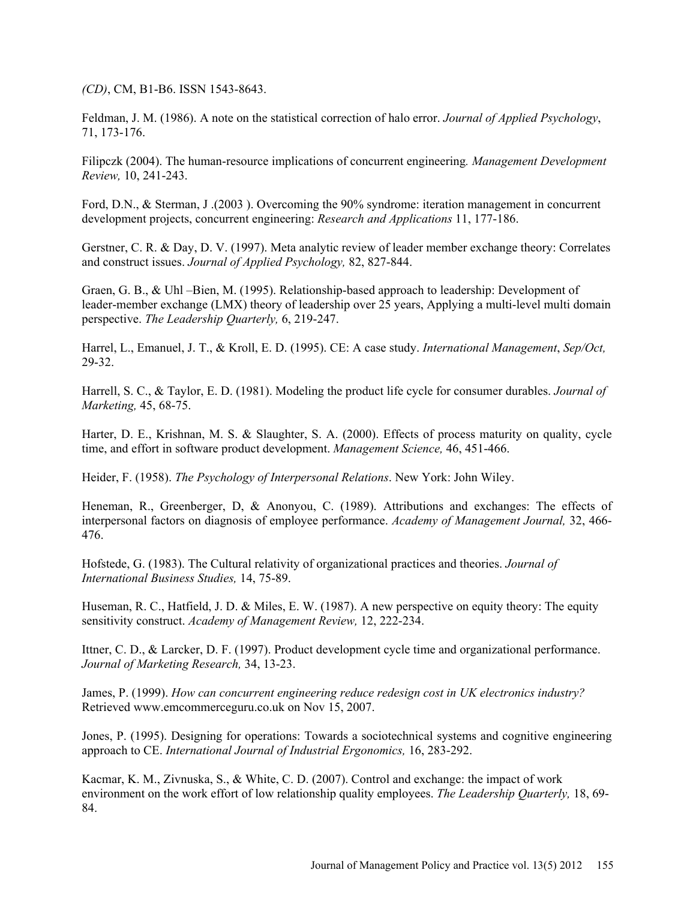*(CD)*, CM, B1-B6. ISSN 1543-8643.

Feldman, J. M. (1986). A note on the statistical correction of halo error. *Journal of Applied Psychology*, 71, 173-176.

Filipczk (2004). The human-resource implications of concurrent engineering*. Management Development Review,* 10, 241-243.

Ford, D.N., & Sterman, J .(2003 ). Overcoming the 90% syndrome: iteration management in concurrent development projects, concurrent engineering: *Research and Applications* 11, 177-186.

Gerstner, C. R. & Day, D. V. (1997). Meta analytic review of leader member exchange theory: Correlates and construct issues. *Journal of Applied Psychology,* 82, 827-844.

Graen, G. B., & Uhl –Bien, M. (1995). Relationship-based approach to leadership: Development of leader-member exchange (LMX) theory of leadership over 25 years, Applying a multi-level multi domain perspective. *The Leadership Quarterly,* 6, 219-247.

Harrel, L., Emanuel, J. T., & Kroll, E. D. (1995). CE: A case study. *International Management*, *Sep/Oct,*  29-32.

Harrell, S. C., & Taylor, E. D. (1981). Modeling the product life cycle for consumer durables. *Journal of Marketing,* 45, 68-75.

Harter, D. E., Krishnan, M. S. & Slaughter, S. A. (2000). Effects of process maturity on quality, cycle time, and effort in software product development. *Management Science,* 46, 451-466.

Heider, F. (1958). *The Psychology of Interpersonal Relations*. New York: John Wiley.

Heneman, R., Greenberger, D, & Anonyou, C. (1989). Attributions and exchanges: The effects of interpersonal factors on diagnosis of employee performance. *Academy of Management Journal,* 32, 466- 476.

Hofstede, G. (1983). The Cultural relativity of organizational practices and theories. *Journal of International Business Studies,* 14, 75-89.

Huseman, R. C., Hatfield, J. D. & Miles, E. W. (1987). A new perspective on equity theory: The equity sensitivity construct. *Academy of Management Review,* 12, 222-234.

Ittner, C. D., & Larcker, D. F. (1997). Product development cycle time and organizational performance. *Journal of Marketing Research,* 34, 13-23.

James, P. (1999). *How can concurrent engineering reduce redesign cost in UK electronics industry?*  Retrieved www.emcommerceguru.co.uk on Nov 15, 2007.

Jones, P. (1995). Designing for operations: Towards a sociotechnical systems and cognitive engineering approach to CE. *International Journal of Industrial Ergonomics,* 16, 283-292.

Kacmar, K. M., Zivnuska, S., & White, C. D. (2007). Control and exchange: the impact of work environment on the work effort of low relationship quality employees. *The Leadership Quarterly,* 18, 69- 84.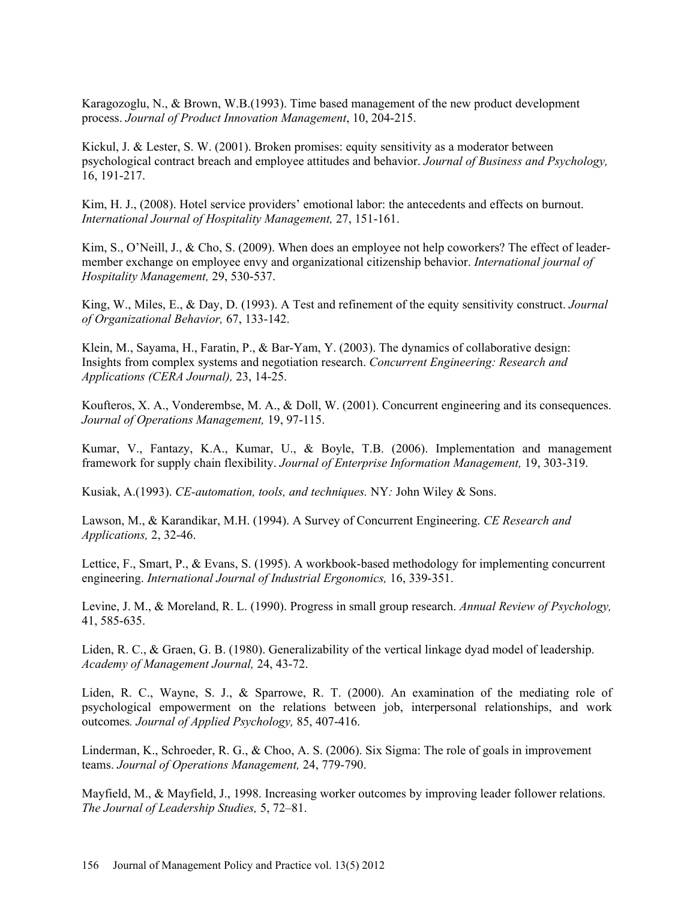Karagozoglu, N., & Brown, W.B.(1993). Time based management of the new product development process. *Journal of Product Innovation Management*, 10, 204-215.

Kickul, J. & Lester, S. W. (2001). Broken promises: equity sensitivity as a moderator between psychological contract breach and employee attitudes and behavior. *Journal of Business and Psychology,*  16, 191-217.

Kim, H. J., (2008). Hotel service providers' emotional labor: the antecedents and effects on burnout. *International Journal of Hospitality Management,* 27, 151-161.

Kim, S., O'Neill, J., & Cho, S. (2009). When does an employee not help coworkers? The effect of leadermember exchange on employee envy and organizational citizenship behavior. *International journal of Hospitality Management,* 29, 530-537.

King, W., Miles, E., & Day, D. (1993). A Test and refinement of the equity sensitivity construct. *Journal of Organizational Behavior,* 67, 133-142.

Klein, M., Sayama, H., Faratin, P., & Bar-Yam, Y. (2003). The dynamics of collaborative design: Insights from complex systems and negotiation research. *Concurrent Engineering: Research and Applications (CERA Journal),* 23, 14-25.

Koufteros, X. A., Vonderembse, M. A., & Doll, W. (2001). Concurrent engineering and its consequences. *Journal of Operations Management,* 19, 97-115.

Kumar, V., Fantazy, K.A., Kumar, U., & Boyle, T.B. (2006). Implementation and management framework for supply chain flexibility. *Journal of Enterprise Information Management,* 19, 303-319.

Kusiak, A.(1993). *CE-automation, tools, and techniques.* NY*:* John Wiley & Sons.

Lawson, M., & Karandikar, M.H. (1994). A Survey of Concurrent Engineering. *CE Research and Applications,* 2, 32-46.

Lettice, F., Smart, P., & Evans, S. (1995). A workbook-based methodology for implementing concurrent engineering. *International Journal of Industrial Ergonomics,* 16, 339-351.

Levine, J. M., & Moreland, R. L. (1990). Progress in small group research. *Annual Review of Psychology,*  41, 585-635.

Liden, R. C., & Graen, G. B. (1980). Generalizability of the vertical linkage dyad model of leadership. *Academy of Management Journal,* 24, 43-72.

Liden, R. C., Wayne, S. J., & Sparrowe, R. T. (2000). An examination of the mediating role of psychological empowerment on the relations between job, interpersonal relationships, and work outcomes*. Journal of Applied Psychology,* 85, 407-416.

Linderman, K., Schroeder, R. G., & Choo, A. S. (2006). Six Sigma: The role of goals in improvement teams. *Journal of Operations Management,* 24, 779-790.

Mayfield, M., & Mayfield, J., 1998. Increasing worker outcomes by improving leader follower relations. *The Journal of Leadership Studies,* 5, 72–81.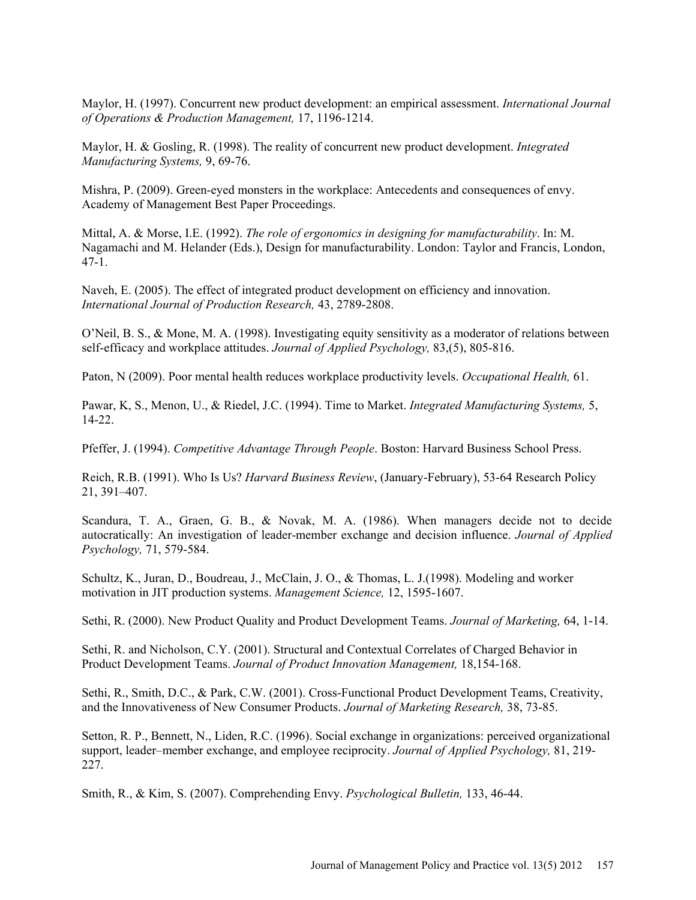Maylor, H. (1997). Concurrent new product development: an empirical assessment. *International Journal of Operations & Production Management,* 17, 1196-1214.

Maylor, H. & Gosling, R. (1998). The reality of concurrent new product development. *Integrated Manufacturing Systems,* 9, 69-76.

Mishra, P. (2009). Green-eyed monsters in the workplace: Antecedents and consequences of envy. Academy of Management Best Paper Proceedings.

Mittal, A. & Morse, I.E. (1992). *The role of ergonomics in designing for manufacturability*. In: M. Nagamachi and M. Helander (Eds.), Design for manufacturability. London: Taylor and Francis, London, 47-1.

Naveh, E. (2005). The effect of integrated product development on efficiency and innovation. *International Journal of Production Research,* 43, 2789-2808.

O'Neil, B. S., & Mone, M. A. (1998). Investigating equity sensitivity as a moderator of relations between self-efficacy and workplace attitudes. *Journal of Applied Psychology,* 83,(5), 805-816.

Paton, N (2009). Poor mental health reduces workplace productivity levels. *Occupational Health,* 61.

Pawar, K, S., Menon, U., & Riedel, J.C. (1994). Time to Market. *Integrated Manufacturing Systems,* 5, 14-22.

Pfeffer, J. (1994). *Competitive Advantage Through People*. Boston: Harvard Business School Press.

Reich, R.B. (1991). Who Is Us? *Harvard Business Review*, (January-February), 53-64 Research Policy 21, 391–407.

Scandura, T. A., Graen, G. B., & Novak, M. A. (1986). When managers decide not to decide autocratically: An investigation of leader-member exchange and decision influence. *Journal of Applied Psychology,* 71, 579-584.

Schultz, K., Juran, D., Boudreau, J., McClain, J. O., & Thomas, L. J.(1998). Modeling and worker motivation in JIT production systems. *Management Science,* 12, 1595-1607.

Sethi, R. (2000). New Product Quality and Product Development Teams. *Journal of Marketing,* 64, 1-14.

Sethi, R. and Nicholson, C.Y. (2001). Structural and Contextual Correlates of Charged Behavior in Product Development Teams. *Journal of Product Innovation Management,* 18,154-168.

Sethi, R., Smith, D.C., & Park, C.W. (2001). Cross-Functional Product Development Teams, Creativity, and the Innovativeness of New Consumer Products. *Journal of Marketing Research,* 38, 73-85.

Setton, R. P., Bennett, N., Liden, R.C. (1996). Social exchange in organizations: perceived organizational support, leader–member exchange, and employee reciprocity. *Journal of Applied Psychology,* 81, 219- 227.

Smith, R., & Kim, S. (2007). Comprehending Envy. *Psychological Bulletin,* 133, 46-44.